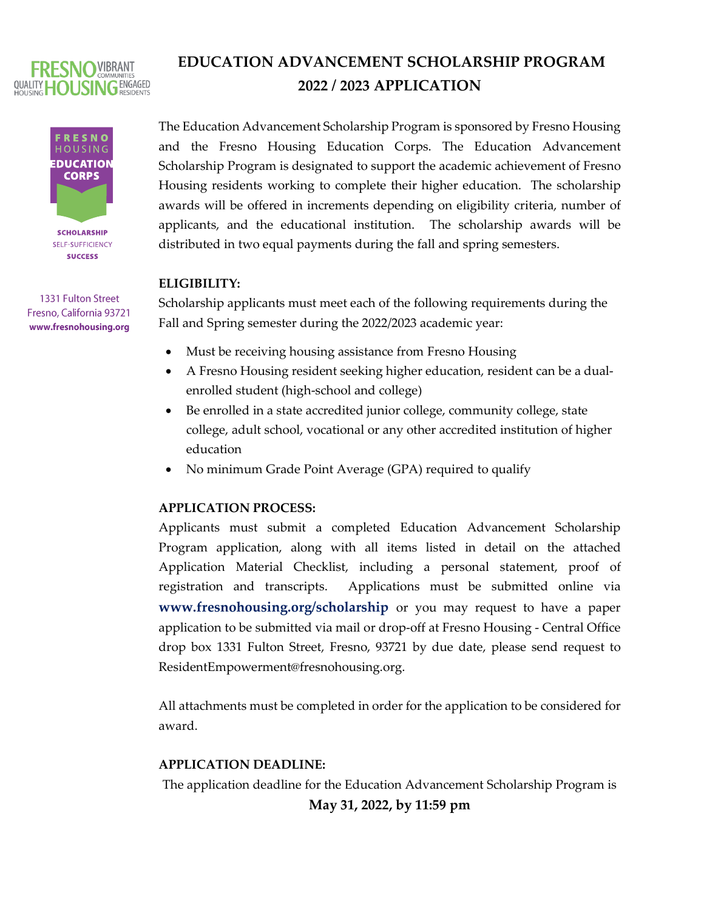

## **FRESNO HOUSING EDUCATION CORPS SCHOLARSHIP** SELF-SUFFICIENCY **SUCCESS**

1331 Fulton Street Fresno, California 93721 www.fresnohousing.org

# **EDUCATION ADVANCEMENT SCHOLARSHIP PROGRAM 2022 / 2023 APPLICATION**

The Education Advancement Scholarship Program is sponsored by Fresno Housing and the Fresno Housing Education Corps. The Education Advancement Scholarship Program is designated to support the academic achievement of Fresno Housing residents working to complete their higher education. The scholarship awards will be offered in increments depending on eligibility criteria, number of applicants, and the educational institution. The scholarship awards will be distributed in two equal payments during the fall and spring semesters.

## **ELIGIBILITY:**

Scholarship applicants must meet each of the following requirements during the Fall and Spring semester during the 2022/2023 academic year:

- Must be receiving housing assistance from Fresno Housing
- A Fresno Housing resident seeking higher education, resident can be a dualenrolled student (high-school and college)
- Be enrolled in a state accredited junior college, community college, state college, adult school, vocational or any other accredited institution of higher education
- No minimum Grade Point Average (GPA) required to qualify

## **APPLICATION PROCESS:**

Applicants must submit a completed Education Advancement Scholarship Program application, along with all items listed in detail on the attached Application Material Checklist, including a personal statement, proof of registration and transcripts. Applications must be submitted online via **www.fresnohousing.org/scholarship** or you may request to have a paper application to be submitted via mail or drop-off at Fresno Housing - Central Office drop box 1331 Fulton Street, Fresno, 93721 by due date, please send request to ResidentEmpowerment@fresnohousing.org.

All attachments must be completed in order for the application to be considered for award.

#### **APPLICATION DEADLINE:**

The application deadline for the Education Advancement Scholarship Program is

## **May 31, 2022, by 11:59 pm**